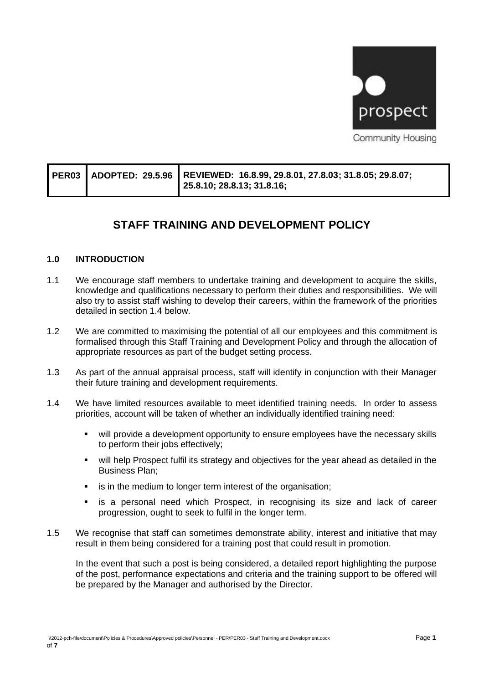

|  |  | PER03 ADOPTED: 29.5.96 REVIEWED: 16.8.99, 29.8.01, 27.8.03; 31.8.05; 29.8.07;<br>25.8.10; 28.8.13; 31.8.16; |
|--|--|-------------------------------------------------------------------------------------------------------------|
|--|--|-------------------------------------------------------------------------------------------------------------|

# **STAFF TRAINING AND DEVELOPMENT POLICY**

#### **1.0 INTRODUCTION**

- 1.1 We encourage staff members to undertake training and development to acquire the skills, knowledge and qualifications necessary to perform their duties and responsibilities. We will also try to assist staff wishing to develop their careers, within the framework of the priorities detailed in section 1.4 below.
- 1.2 We are committed to maximising the potential of all our employees and this commitment is formalised through this Staff Training and Development Policy and through the allocation of appropriate resources as part of the budget setting process.
- 1.3 As part of the annual appraisal process, staff will identify in conjunction with their Manager their future training and development requirements.
- 1.4 We have limited resources available to meet identified training needs. In order to assess priorities, account will be taken of whether an individually identified training need:
	- will provide a development opportunity to ensure employees have the necessary skills to perform their jobs effectively;
	- will help Prospect fulfil its strategy and objectives for the year ahead as detailed in the Business Plan;
	- is in the medium to longer term interest of the organisation;
	- is a personal need which Prospect, in recognising its size and lack of career progression, ought to seek to fulfil in the longer term.
- 1.5 We recognise that staff can sometimes demonstrate ability, interest and initiative that may result in them being considered for a training post that could result in promotion.

In the event that such a post is being considered, a detailed report highlighting the purpose of the post, performance expectations and criteria and the training support to be offered will be prepared by the Manager and authorised by the Director.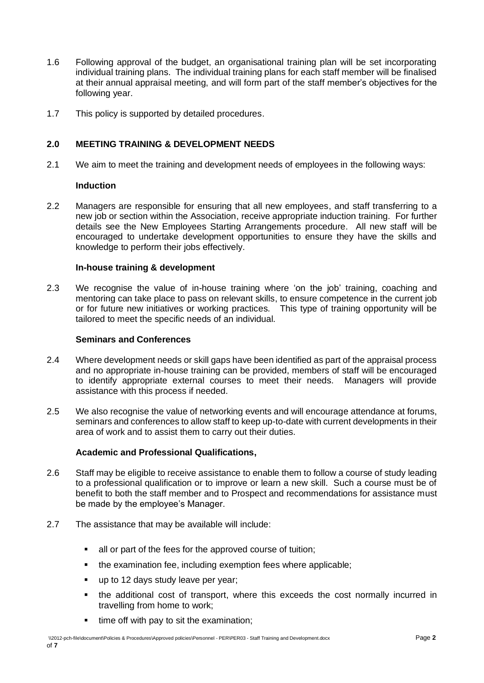- 1.6 Following approval of the budget, an organisational training plan will be set incorporating individual training plans. The individual training plans for each staff member will be finalised at their annual appraisal meeting, and will form part of the staff member's objectives for the following year.
- 1.7 This policy is supported by detailed procedures.

### **2.0 MEETING TRAINING & DEVELOPMENT NEEDS**

2.1 We aim to meet the training and development needs of employees in the following ways:

#### **Induction**

2.2 Managers are responsible for ensuring that all new employees, and staff transferring to a new job or section within the Association, receive appropriate induction training. For further details see the New Employees Starting Arrangements procedure. All new staff will be encouraged to undertake development opportunities to ensure they have the skills and knowledge to perform their jobs effectively.

#### **In-house training & development**

2.3 We recognise the value of in-house training where 'on the job' training, coaching and mentoring can take place to pass on relevant skills, to ensure competence in the current job or for future new initiatives or working practices. This type of training opportunity will be tailored to meet the specific needs of an individual.

#### **Seminars and Conferences**

- 2.4 Where development needs or skill gaps have been identified as part of the appraisal process and no appropriate in-house training can be provided, members of staff will be encouraged to identify appropriate external courses to meet their needs. Managers will provide assistance with this process if needed.
- 2.5 We also recognise the value of networking events and will encourage attendance at forums, seminars and conferences to allow staff to keep up-to-date with current developments in their area of work and to assist them to carry out their duties.

#### **Academic and Professional Qualifications,**

- 2.6 Staff may be eligible to receive assistance to enable them to follow a course of study leading to a professional qualification or to improve or learn a new skill. Such a course must be of benefit to both the staff member and to Prospect and recommendations for assistance must be made by the employee's Manager.
- 2.7 The assistance that may be available will include:
	- all or part of the fees for the approved course of tuition;
	- the examination fee, including exemption fees where applicable;
	- up to 12 days study leave per year;
	- the additional cost of transport, where this exceeds the cost normally incurred in travelling from home to work;
	- time off with pay to sit the examination;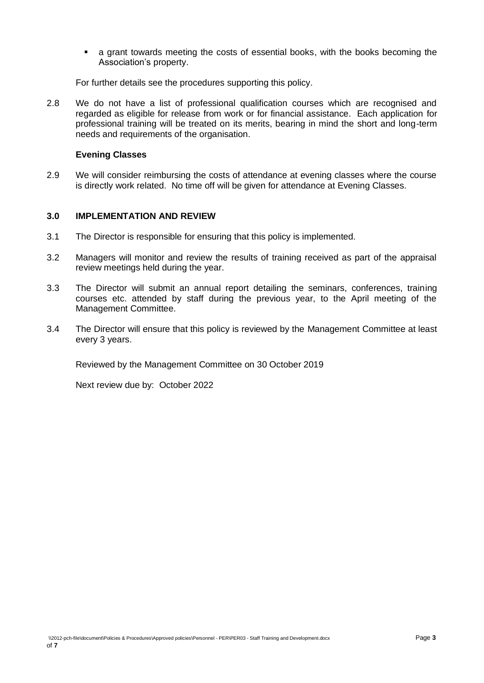▪ a grant towards meeting the costs of essential books, with the books becoming the Association's property.

For further details see the procedures supporting this policy.

2.8 We do not have a list of professional qualification courses which are recognised and regarded as eligible for release from work or for financial assistance. Each application for professional training will be treated on its merits, bearing in mind the short and long-term needs and requirements of the organisation.

#### **Evening Classes**

2.9 We will consider reimbursing the costs of attendance at evening classes where the course is directly work related. No time off will be given for attendance at Evening Classes.

#### **3.0 IMPLEMENTATION AND REVIEW**

- 3.1 The Director is responsible for ensuring that this policy is implemented.
- 3.2 Managers will monitor and review the results of training received as part of the appraisal review meetings held during the year.
- 3.3 The Director will submit an annual report detailing the seminars, conferences, training courses etc. attended by staff during the previous year, to the April meeting of the Management Committee.
- 3.4 The Director will ensure that this policy is reviewed by the Management Committee at least every 3 years.

Reviewed by the Management Committee on 30 October 2019

Next review due by: October 2022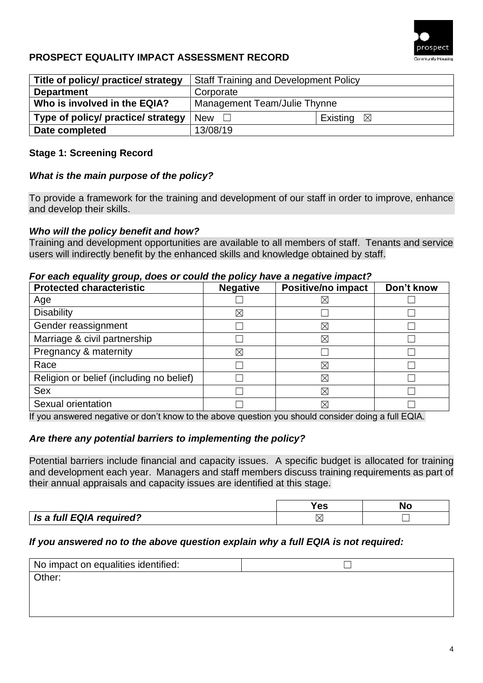

## **PROSPECT EQUALITY IMPACT ASSESSMENT RECORD**

| Title of policy/ practice/ strategy | <b>Staff Training and Development Policy</b> |                      |  |
|-------------------------------------|----------------------------------------------|----------------------|--|
| <b>Department</b>                   | Corporate                                    |                      |  |
| Who is involved in the EQIA?        | Management Team/Julie Thynne                 |                      |  |
| Type of policy/ practice/ strategy  | <b>New</b>                                   | Existing $\boxtimes$ |  |
| Date completed                      | 13/08/19                                     |                      |  |

### **Stage 1: Screening Record**

## *What is the main purpose of the policy?*

To provide a framework for the training and development of our staff in order to improve, enhance and develop their skills.

### *Who will the policy benefit and how?*

Training and development opportunities are available to all members of staff. Tenants and service users will indirectly benefit by the enhanced skills and knowledge obtained by staff.

#### *For each equality group, does or could the policy have a negative impact?*

| <b>Protected characteristic</b>          | <b>Negative</b> | Positive/no impact | Don't know |
|------------------------------------------|-----------------|--------------------|------------|
| Age                                      |                 | ⋉                  |            |
| <b>Disability</b>                        | ⋉               |                    |            |
| Gender reassignment                      |                 | $\boxtimes$        |            |
| Marriage & civil partnership             |                 | $\boxtimes$        |            |
| Pregnancy & maternity                    | $\times$        |                    |            |
| Race                                     |                 | $\boxtimes$        |            |
| Religion or belief (including no belief) |                 | $\boxtimes$        |            |
| <b>Sex</b>                               |                 | $\boxtimes$        |            |
| Sexual orientation                       |                 | ⋉                  |            |

If you answered negative or don't know to the above question you should consider doing a full EQIA.

### *Are there any potential barriers to implementing the policy?*

Potential barriers include financial and capacity issues. A specific budget is allocated for training and development each year. Managers and staff members discuss training requirements as part of their annual appraisals and capacity issues are identified at this stage.

|                          | 63 | NC |
|--------------------------|----|----|
| Is a full EQIA required? |    |    |

### *If you answered no to the above question explain why a full EQIA is not required:*

| No impact on equalities identified: |  |
|-------------------------------------|--|
| Other:                              |  |
|                                     |  |
|                                     |  |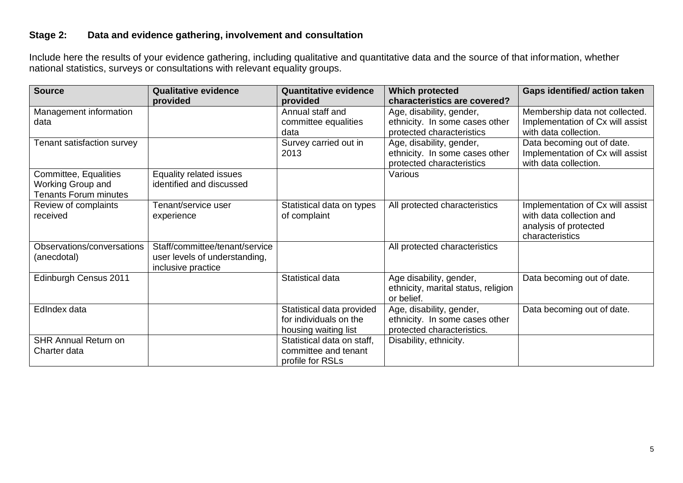## **Stage 2: Data and evidence gathering, involvement and consultation**

Include here the results of your evidence gathering, including qualitative and quantitative data and the source of that information, whether national statistics, surveys or consultations with relevant equality groups.

| <b>Source</b>                | <b>Qualitative evidence</b>    | <b>Quantitative evidence</b> | <b>Which protected</b>              | <b>Gaps identified/action taken</b> |
|------------------------------|--------------------------------|------------------------------|-------------------------------------|-------------------------------------|
|                              | provided                       | provided                     | characteristics are covered?        |                                     |
| Management information       |                                | Annual staff and             | Age, disability, gender,            | Membership data not collected.      |
| data                         |                                | committee equalities         | ethnicity. In some cases other      | Implementation of Cx will assist    |
|                              |                                | data                         | protected characteristics           | with data collection.               |
| Tenant satisfaction survey   |                                | Survey carried out in        | Age, disability, gender,            | Data becoming out of date.          |
|                              |                                | 2013                         | ethnicity. In some cases other      | Implementation of Cx will assist    |
|                              |                                |                              | protected characteristics           | with data collection.               |
| Committee, Equalities        | Equality related issues        |                              | Various                             |                                     |
| Working Group and            | identified and discussed       |                              |                                     |                                     |
| <b>Tenants Forum minutes</b> |                                |                              |                                     |                                     |
| Review of complaints         | Tenant/service user            | Statistical data on types    | All protected characteristics       | Implementation of Cx will assist    |
| received                     | experience                     | of complaint                 |                                     | with data collection and            |
|                              |                                |                              |                                     | analysis of protected               |
|                              |                                |                              |                                     | characteristics                     |
| Observations/conversations   | Staff/committee/tenant/service |                              | All protected characteristics       |                                     |
| (anecdotal)                  | user levels of understanding,  |                              |                                     |                                     |
|                              | inclusive practice             |                              |                                     |                                     |
| Edinburgh Census 2011        |                                | Statistical data             | Age disability, gender,             | Data becoming out of date.          |
|                              |                                |                              | ethnicity, marital status, religion |                                     |
|                              |                                |                              | or belief.                          |                                     |
| EdIndex data                 |                                | Statistical data provided    | Age, disability, gender,            | Data becoming out of date.          |
|                              |                                | for individuals on the       | ethnicity. In some cases other      |                                     |
|                              |                                | housing waiting list         | protected characteristics.          |                                     |
| <b>SHR Annual Return on</b>  |                                | Statistical data on staff,   | Disability, ethnicity.              |                                     |
| Charter data                 |                                | committee and tenant         |                                     |                                     |
|                              |                                | profile for RSLs             |                                     |                                     |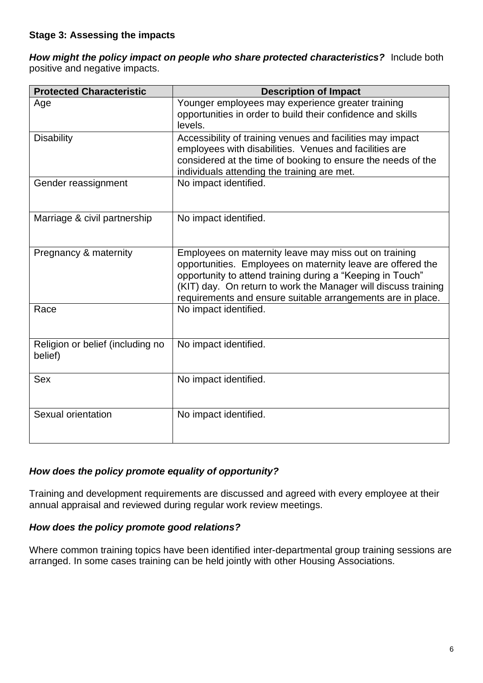*How might the policy impact on people who share protected characteristics?*Include both positive and negative impacts.

| <b>Protected Characteristic</b>             | <b>Description of Impact</b>                                                                                                                                                                                                                                                                                        |  |  |
|---------------------------------------------|---------------------------------------------------------------------------------------------------------------------------------------------------------------------------------------------------------------------------------------------------------------------------------------------------------------------|--|--|
| Age                                         | Younger employees may experience greater training<br>opportunities in order to build their confidence and skills<br>levels.                                                                                                                                                                                         |  |  |
| <b>Disability</b>                           | Accessibility of training venues and facilities may impact<br>employees with disabilities. Venues and facilities are<br>considered at the time of booking to ensure the needs of the<br>individuals attending the training are met.                                                                                 |  |  |
| Gender reassignment                         | No impact identified.                                                                                                                                                                                                                                                                                               |  |  |
| Marriage & civil partnership                | No impact identified.                                                                                                                                                                                                                                                                                               |  |  |
| Pregnancy & maternity                       | Employees on maternity leave may miss out on training<br>opportunities. Employees on maternity leave are offered the<br>opportunity to attend training during a "Keeping in Touch"<br>(KIT) day. On return to work the Manager will discuss training<br>requirements and ensure suitable arrangements are in place. |  |  |
| Race                                        | No impact identified.                                                                                                                                                                                                                                                                                               |  |  |
| Religion or belief (including no<br>belief) | No impact identified.                                                                                                                                                                                                                                                                                               |  |  |
| <b>Sex</b>                                  | No impact identified.                                                                                                                                                                                                                                                                                               |  |  |
| Sexual orientation                          | No impact identified.                                                                                                                                                                                                                                                                                               |  |  |

## *How does the policy promote equality of opportunity?*

Training and development requirements are discussed and agreed with every employee at their annual appraisal and reviewed during regular work review meetings.

### *How does the policy promote good relations?*

Where common training topics have been identified inter-departmental group training sessions are arranged. In some cases training can be held jointly with other Housing Associations.